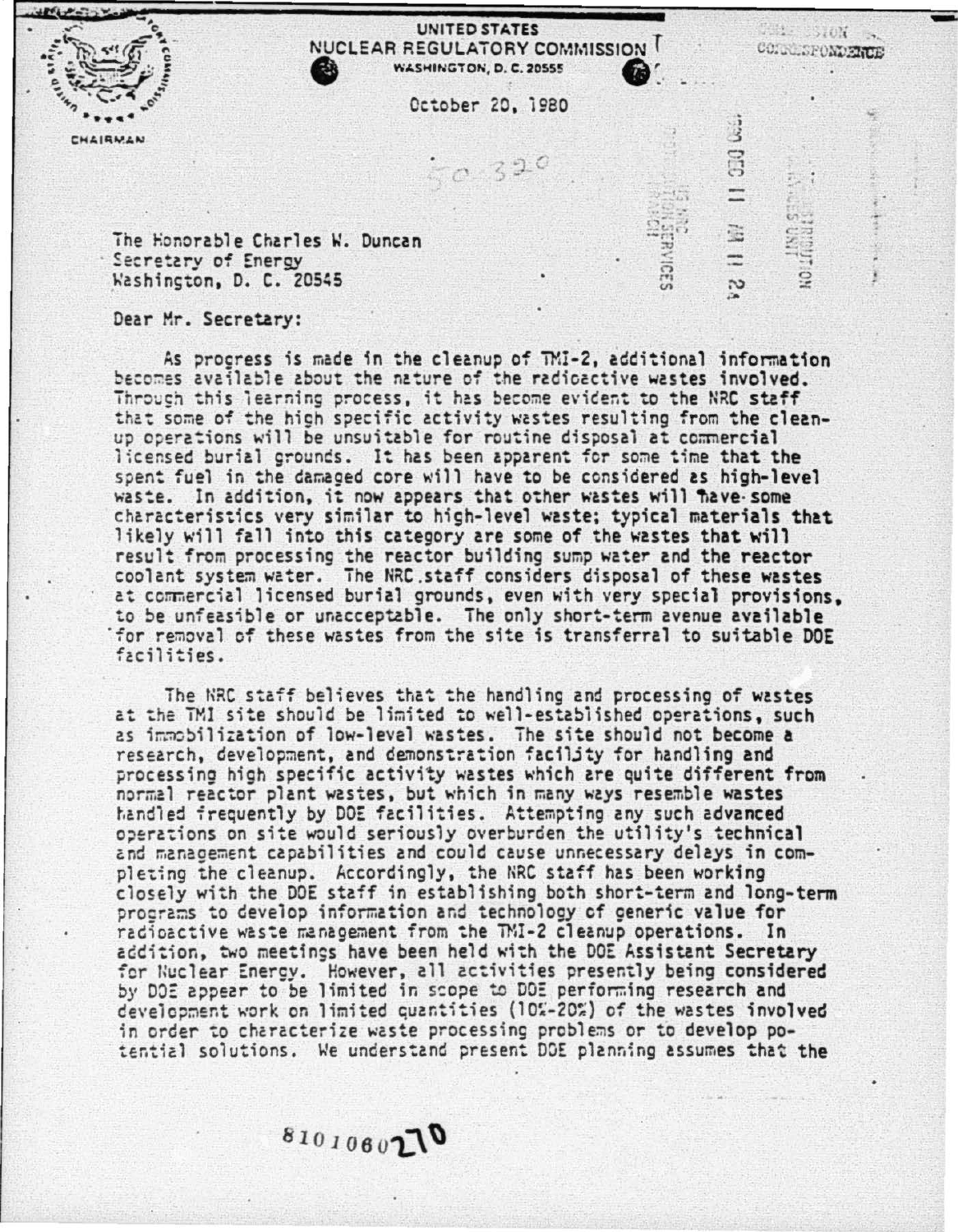CHAIRMAN

## **UNITED STATES** NUCLEAR REGULATORY COMMISSION WASHINGTON, D. C. 20555

**BELLEVION** 

**SERIES** 

 $\ddot{\Omega}$ 

.<br>نگ

S

Cr.

**SERVICES** 

CONNECTONDENCE

October 20, 1980

 $290$ 

The Honorable Charles W. Duncan Secretary of Energy Washington, D. C. 20545

Dear Mr. Secretary:

As procress is made in the cleanup of TMI-2, additional information becomes available about the nature of the radioactive wastes involved. Throuch this learning process, it has become evident to the NRC staff that some of the high specific activity wastes resulting from the cleanup operations will be unsuitable for routine disposal at commercial licensed burial grounds. It has been apparent for some time that the spent fuel in the damaged core will have to be considered as high-level waste. In addition, it now appears that other wastes will flave some characteristics very similar to high-level waste; typical materials that likely will fall into this category are some of the wastes that will result from processing the reactor building sump water and the reactor<br>coolant system water. The NRC staff considers disposal of these wastes at commercial licensed burial grounds, even with very special provisions. to be unfeasible or unacceptable. The only short-term avenue available for removal of these wastes from the site is transferral to suitable DOE facilities.

The NRC staff believes that the handling and processing of wastes at the TMI site should be limited to well-established operations, such as immobilization of low-level wastes. The site should not become a research, development, and demonstration facility for handling and processing high specific activity wastes which are quite different from normal reactor plant wastes, but which in many ways resemble wastes handled frequently by DOE facilities. Attempting any such advanced operations on site would seriously overburden the utility's technical and management capabilities and could cause unnecessary delays in completing the cleanup. Accordingly, the NRC staff has been working closely with the DOE staff in establishing both short-term and long-term programs to develop information and technology of generic value for radioactive waste management from the TMI-2 cleanup operations. In addition, two meetings have been held with the DOE Assistant Secretary for Nuclear Energy. However, all activities presently being considered by DOE appear to be limited in scope to DOE performing research and development work on limited quantities (10%-20%) of the wastes involved in order to characterize waste processing problems or to develop potential solutions. We understand present DOE planning assumes that the